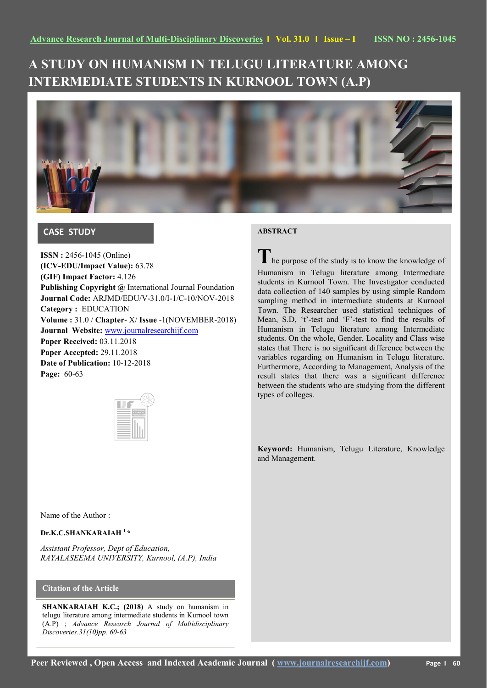# **A STUDY ON HUMANISM IN TELUGU LITERATURE AMONG INTERMEDIATE STUDENTS IN KURNOOL TOWN (A.P)**



# **CASE STUDY**

**ISSN :** 2456-1045 (Online) **(ICV-EDU/Impact Value):** 63.78 **(GIF) Impact Factor:** 4.126 **Publishing Copyright @** International Journal Foundation **Journal Code:** ARJMD/EDU/V-31.0/I-1/C-10/NOV-2018 **Category :** EDUCATION **Volume :** 31.0 / **Chapter**- X/ **Issue** -1(NOVEMBER-2018) **Journal Website:** [www.journalresearchijf.com](http://www.journalresearchijf.com/) **Paper Received:** 03.11.2018 **Paper Accepted:** 29.11.2018 **Date of Publication:** 10-12-2018 **Page:** 60-63

# **ABSTRACT**

**T** he purpose of the study is to know the knowledge of Humanism in Telugu literature among Intermediate students in Kurnool Town. The Investigator conducted data collection of 140 samples by using simple Random sampling method in intermediate students at Kurnool Town. The Researcher used statistical techniques of Mean, S.D, 't'-test and 'F'-test to find the results of Humanism in Telugu literature among Intermediate students. On the whole, Gender, Locality and Class wise states that There is no significant difference between the variables regarding on Humanism in Telugu literature. Furthermore, According to Management, Analysis of the result states that there was a significant difference between the students who are studying from the different types of colleges.

**Keyword:** Humanism, Telugu Literature, Knowledge and Management.

Name of the Author :

### **Dr.K.C.SHANKARAIAH <sup>1</sup> \***

*Assistant Professor, Dept of Education, RAYALASEEMA UNIVERSITY, Kurnool, (A.P), India*

# **Citation of the Article**

**SHANKARAIAH K.C.; (2018)** A study on humanism in telugu literature among intermediate students in Kurnool town (A.P) ; *Advance Research Journal of Multidisciplinary Discoveries.31(10)pp. 60-63*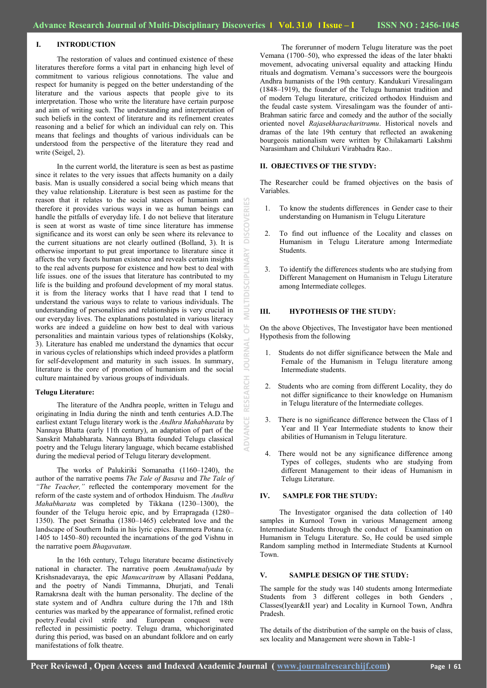### **I. INTRODUCTION**

The restoration of values and continued existence of these literatures therefore forms a vital part in enhancing high level of commitment to various religious connotations. The value and respect for humanity is pegged on the better understanding of the literature and the various aspects that people give to its interpretation. Those who write the literature have certain purpose and aim of writing such. The understanding and interpretation of such beliefs in the context of literature and its refinement creates reasoning and a belief for which an individual can rely on. This means that feelings and thoughts of various individuals can be understood from the perspective of the literature they read and write (Seigel, 2).

In the current world, the literature is seen as best as pastime since it relates to the very issues that affects humanity on a daily basis. Man is usually considered a social being which means that they value relationship. Literature is best seen as pastime for the reason that it relates to the social stances of humanism and therefore it provides various ways in we as human beings can handle the pitfalls of everyday life. I do not believe that literature is seen at worst as waste of time since literature has immense significance and its worst can only be seen where its relevance to the current situations are not clearly outlined (Bolland, 3). It is otherwise important to put great importance to literature since it affects the very facets human existence and reveals certain insights to the real advents purpose for existence and how best to deal with life issues. one of the issues that literature has contributed to my life is the building and profound development of my moral status. it is from the literacy works that I have read that I tend to understand the various ways to relate to various individuals. The understanding of personalities and relationships is very crucial in our everyday lives. The explanations postulated in various literacy works are indeed a guideline on how best to deal with various personalities and maintain various types of relationships (Kolsky, 3). Literature has enabled me understand the dynamics that occur in various cycles of relationships which indeed provides a platform for self-development and maturity in such issues. In summary, literature is the core of promotion of humanism and the social culture maintained by various groups of individuals.

#### **Telugu Literature:**

The literature of the Andhra people, written in Telugu and originating in India during the ninth and tenth centuries A.D.The earliest extant Telugu literary work is the *Andhra Mahabharata* by Nannaya Bhatta (early 11th century), an adaptation of part of the Sanskrit Mahabharata. Nannaya Bhatta founded Telugu classical poetry and the Telugu literary language, which became established during the medieval period of Telugu literary development.

The works of Palukiriki Somanatha (1160–1240), the author of the narrative poems *The Tale of Basava* and *The Tale of "The Teacher,"* reflected the contemporary movement for the reform of the caste system and of orthodox Hinduism. The *Andhra Mahabharata* was completed by Tikkana (1230–1300), the founder of the Telugu heroic epic, and by Errapragada (1280– 1350). The poet Srinatha (1380–1465) celebrated love and the landscape of Southern India in his lyric epics. Bammera Potana (c. 1405 to 1450–80) recounted the incarnations of the god Vishnu in the narrative poem *Bhagavatam*.

In the 16th century, Telugu literature became distinctively national in character. The narrative poem *Amuktamalyada* by Krishsnadevaraya, the epic *Manucaritram* by Allasani Peddana, and the poetry of Nandi Timmanna, Dhurjati, and Tenali Ramakrsna dealt with the human personality. The decline of the state system and of Andhra culture during the 17th and 18th centuries was marked by the appearance of formalist, refined erotic poetry.Feudal civil strife and European conquest were reflected in pessimistic poetry. Telugu drama, whichoriginated during this period, was based on an abundant folklore and on early manifestations of folk theatre.

The forerunner of modern Telugu literature was the poet Vemana (1700–50), who expressed the ideas of the later bhakti movement, advocating universal equality and attacking Hindu rituals and dogmatism. Vemana"s successors were the bourgeois Andhra humanists of the 19th century. Kandukuri Viresalingam (1848–1919), the founder of the Telugu humanist tradition and of modern Telugu literature, criticized orthodox Hinduism and the feudal caste system. Viresalingam was the founder of anti-Brahman satiric farce and comedy and the author of the socially oriented novel *Rajasekharacharitramu*. Historical novels and dramas of the late 19th century that reflected an awakening bourgeois nationalism were written by Chilakamarti Lakshmi Narasimham and Chilukuri Virabhadra Rao..

### **II. OBJECTIVES OF THE STYDY:**

The Researcher could be framed objectives on the basis of Variables.

- 1. To know the students differences in Gender case to their understanding on Humanism in Telugu Literature
- 2. To find out influence of the Locality and classes on Humanism in Telugu Literature among Intermediate Students.
- 3. To identify the differences students who are studying from Different Management on Humanism in Telugu Literature among Intermediate colleges.

#### **III. HYPOTHESIS OF THE STUDY:**

**ADVANCE RESEARCH JOURNAL OF MULTIDISCIPLINARY DISCOVERIES**

 $\overline{0}$ 

**JOURNAL** 

RESEARCH

**ADVANCE** 

VINNTID

ERIES

**DISCOVI** 

**ISCIPLINARY** 

On the above Objectives, The Investigator have been mentioned Hypothesis from the following

- 1. Students do not differ significance between the Male and Female of the Humanism in Telugu literature among Intermediate students.
- 2. Students who are coming from different Locality, they do not differ significance to their knowledge on Humanism in Telugu literature of the Intermediate colleges.
- There is no significance difference between the Class of I Year and II Year Intermediate students to know their abilities of Humanism in Telugu literature.
- 4. There would not be any significance difference among Types of colleges, students who are studying from different Management to their ideas of Humanism in Telugu Literature.

### **IV. SAMPLE FOR THE STUDY:**

The Investigator organised the data collection of 140 samples in Kurnool Town in various Management among Intermediate Students through the conduct of Examination on Humanism in Telugu Literature. So, He could be used simple Random sampling method in Intermediate Students at Kurnool Town.

#### **V. SAMPLE DESIGN OF THE STUDY:**

The sample for the study was 140 students among Intermediate Students from 3 different colleges in both Genders , Classes(Iyear&II year) and Locality in Kurnool Town, Andhra Pradesh.

The details of the distribution of the sample on the basis of class, sex locality and Management were shown in Table-1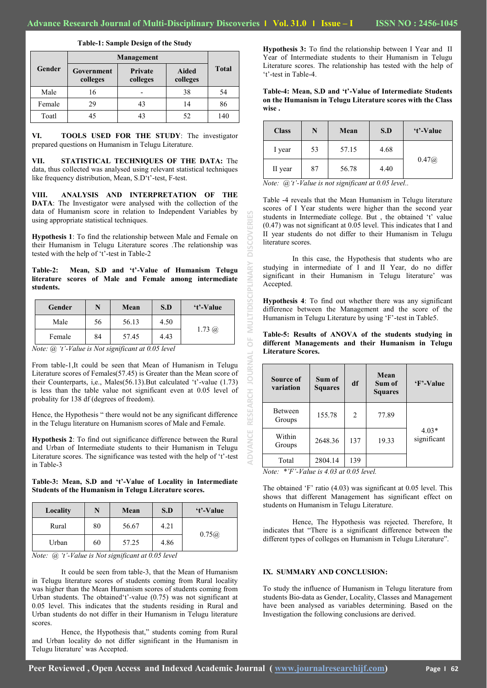**ADVANCE RESEARCH JOURNAL OF MULTIDISCIPLINARY DISCOVERIES**

 $\overline{0}$ 

**JOURNAL** 

RESEARCH

ADVANC

MULTIDISCIPLINARY

**SCOV** ā

| ISSN NO : 2456-1045 |  |  |
|---------------------|--|--|
|                     |  |  |

|        | Management             |                     |                          |              |  |
|--------|------------------------|---------------------|--------------------------|--------------|--|
| Gender | Government<br>colleges | Private<br>colleges | <b>Aided</b><br>colleges | <b>Total</b> |  |
| Male   | 16                     |                     | 38                       | 54           |  |
| Female | 29                     | 43                  | 14                       | 86           |  |
|        |                        |                     |                          |              |  |

**Table-1: Sample Design of the Study**

**VI. TOOLS USED FOR THE STUDY**: The investigator prepared questions on Humanism in Telugu Literature.

Toatl | 45 | 43 | 52 | 140

**VII. STATISTICAL TECHNIQUES OF THE DATA:** The data, thus collected was analysed using relevant statistical techniques like frequency distribution, Mean, S.D't'-test, F-test.

**VIII. ANALYSIS AND INTERPRETATION OF THE DATA**: The Investigator were analysed with the collection of the data of Humanism score in relation to Independent Variables by using appropriate statistical techniques.

**Hypothesis 1**: To find the relationship between Male and Female on their Humanism in Telugu Literature scores .The relationship was tested with the help of 't'-test in Table-2

**Table-2: Mean, S.D and 't'-Value of Humanism Telugu literature scores of Male and Female among intermediate students.**

| Gender |    | Mean  | S.D  | 't'-Value        |
|--------|----|-------|------|------------------|
| Male   | 56 | 56.13 | 4.50 | $1.73 \; \omega$ |
| Female | 84 | 57.45 | 4.43 |                  |

*Note: @ "t"-Value is Not significant at 0.05 level*

From table-1,It could be seen that Mean of Humanism in Telugu Literature scores of Females(57.45) is Greater than the Mean score of their Counterparts, i,e., Males(56.13).But calculated "t"-value (1.73) is less than the table value not significant even at 0.05 level of probality for 138 df (degrees of freedom).

Hence, the Hypothesis " there would not be any significant difference in the Telugu literature on Humanism scores of Male and Female.

**Hypothesis 2**: To find out significance difference between the Rural and Urban of Intermediate students to their Humanism in Telugu Literature scores. The significance was tested with the help of 't'-test in Table-3

**Table-3: Mean, S.D and 't'-Value of Locality in Intermediate Students of the Humanism in Telugu Literature scores.**

| Locality | N  | Mean  | S.D  | 't'-Value |
|----------|----|-------|------|-----------|
| Rural    | 80 | 56.67 | 4.21 | 0.75@     |
| Urban    | 60 | 57.25 | 4.86 |           |

*Note: @ "t"-Value is Not significant at 0.05 level*

It could be seen from table-3, that the Mean of Humanism in Telugu literature scores of students coming from Rural locality was higher than the Mean Humanism scores of students coming from Urban students. The obtained 't'-value  $(0.75)$  was not significant at 0.05 level. This indicates that the students residing in Rural and Urban students do not differ in their Humanism in Telugu literature scores.

Hence, the Hypothesis that," students coming from Rural and Urban locality do not differ significant in the Humanism in Telugu literature" was Accepted.

**Hypothesis 3:** To find the relationship between I Year and II Year of Intermediate students to their Humanism in Telugu Literature scores. The relationship has tested with the help of 't'-test in Table-4.

**Table-4: Mean, S.D and 't'-Value of Intermediate Students on the Humanism in Telugu Literature scores with the Class wise .**

| <b>Class</b> | N  | Mean  | S.D  | 't'-Value |
|--------------|----|-------|------|-----------|
| I year       | 53 | 57.15 | 4.68 |           |
| II year      | 87 | 56.78 | 4.40 | 0.47@     |

*Note: @"t"-Value is not significant at 0.05 level..*

Table -4 reveals that the Mean Humanism in Telugu literature scores of I Year students were higher than the second year students in Intermediate college. But, the obtained 't' value (0.47) was not significant at 0.05 level. This indicates that I and II year students do not differ to their Humanism in Telugu literature scores.

In this case, the Hypothesis that students who are studying in intermediate of I and II Year, do no differ significant in their Humanism in Telugu literature' was Accepted.

**Hypothesis 4**: To find out whether there was any significant difference between the Management and the score of the Humanism in Telugu Literature by using 'F'-test in Table5.

**Table-5: Results of ANOVA of the students studying in different Managements and their Humanism in Telugu Literature Scores.**

| Source of<br>variation   | Sum of<br><b>Squares</b> | df             | Mean<br>Sum of<br><b>Squares</b> | 'F'-Value              |
|--------------------------|--------------------------|----------------|----------------------------------|------------------------|
| <b>Between</b><br>Groups | 155.78                   | $\overline{c}$ | 77.89                            |                        |
| Within<br>Groups         | 2648.36                  | 137            | 19.33                            | $4.03*$<br>significant |
| Total                    | 2804.14                  | 139            |                                  |                        |

*Note: \*"F"-Value is 4.03 at 0.05 level.*

The obtained  $F'$  ratio (4.03) was significant at 0.05 level. This shows that different Management has significant effect on students on Humanism in Telugu Literature.

Hence, The Hypothesis was rejected. Therefore, It indicates that "There is a significant difference between the different types of colleges on Humanism in Telugu Literature".

## **IX. SUMMARY AND CONCLUSION:**

To study the influence of Humanism in Telugu literature from students Bio-data as Gender, Locality, Classes and Management have been analysed as variables determining. Based on the Investigation the following conclusions are derived.